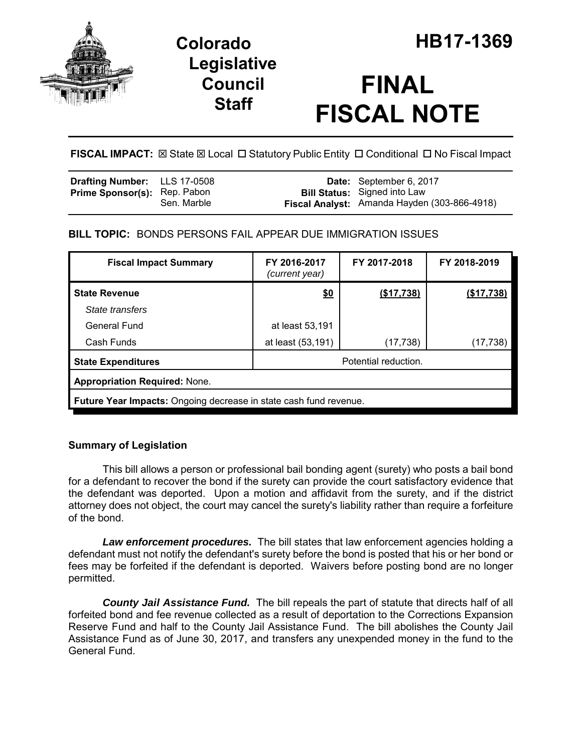

## **Legislative Council Staff**

# **FINAL FISCAL NOTE**

**FISCAL IMPACT:**  $\boxtimes$  **State**  $\boxtimes$  **Local □ Statutory Public Entity □ Conditional □ No Fiscal Impact** 

| <b>Drafting Number:</b> LLS 17-0508 |             | Date: September 6, 2017                                                             |
|-------------------------------------|-------------|-------------------------------------------------------------------------------------|
| <b>Prime Sponsor(s): Rep. Pabon</b> | Sen. Marble | <b>Bill Status:</b> Signed into Law<br>Fiscal Analyst: Amanda Hayden (303-866-4918) |

## **BILL TOPIC:** BONDS PERSONS FAIL APPEAR DUE IMMIGRATION ISSUES

| <b>Fiscal Impact Summary</b>                                      | FY 2016-2017<br>(current year) | FY 2017-2018 | FY 2018-2019      |  |  |
|-------------------------------------------------------------------|--------------------------------|--------------|-------------------|--|--|
| <b>State Revenue</b>                                              | \$0                            | (\$17,738)   | <u>(\$17,738)</u> |  |  |
| State transfers                                                   |                                |              |                   |  |  |
| General Fund                                                      | at least 53,191                |              |                   |  |  |
| Cash Funds                                                        | at least (53,191)              | (17, 738)    | (17, 738)         |  |  |
| <b>State Expenditures</b>                                         | Potential reduction.           |              |                   |  |  |
| <b>Appropriation Required: None.</b>                              |                                |              |                   |  |  |
| Future Year Impacts: Ongoing decrease in state cash fund revenue. |                                |              |                   |  |  |

### **Summary of Legislation**

This bill allows a person or professional bail bonding agent (surety) who posts a bail bond for a defendant to recover the bond if the surety can provide the court satisfactory evidence that the defendant was deported. Upon a motion and affidavit from the surety, and if the district attorney does not object, the court may cancel the surety's liability rather than require a forfeiture of the bond.

*Law enforcement procedures.* The bill states that law enforcement agencies holding a defendant must not notify the defendant's surety before the bond is posted that his or her bond or fees may be forfeited if the defendant is deported. Waivers before posting bond are no longer permitted.

*County Jail Assistance Fund.* The bill repeals the part of statute that directs half of all forfeited bond and fee revenue collected as a result of deportation to the Corrections Expansion Reserve Fund and half to the County Jail Assistance Fund. The bill abolishes the County Jail Assistance Fund as of June 30, 2017, and transfers any unexpended money in the fund to the General Fund.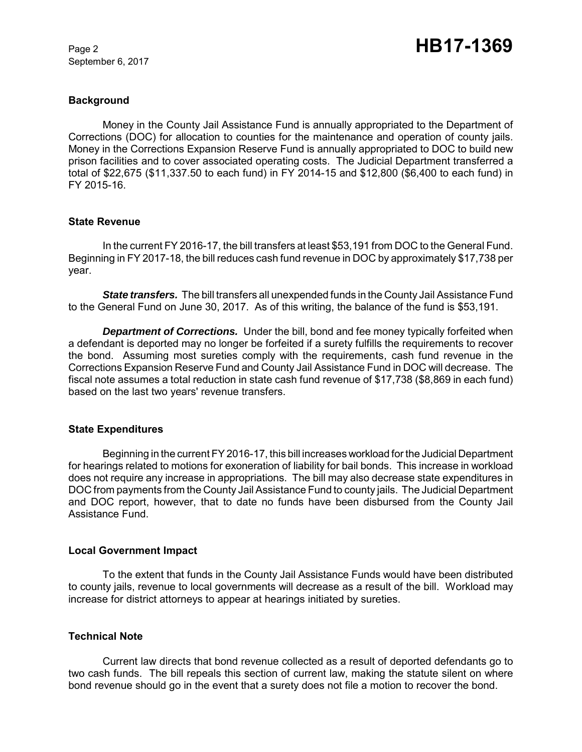September 6, 2017

#### **Background**

Money in the County Jail Assistance Fund is annually appropriated to the Department of Corrections (DOC) for allocation to counties for the maintenance and operation of county jails. Money in the Corrections Expansion Reserve Fund is annually appropriated to DOC to build new prison facilities and to cover associated operating costs. The Judicial Department transferred a total of \$22,675 (\$11,337.50 to each fund) in FY 2014-15 and \$12,800 (\$6,400 to each fund) in FY 2015-16.

#### **State Revenue**

In the current FY 2016-17, the bill transfers at least \$53,191 from DOC to the General Fund. Beginning in FY 2017-18, the bill reduces cash fund revenue in DOC by approximately \$17,738 per year.

*State transfers.* The bill transfers all unexpended funds in the County Jail Assistance Fund to the General Fund on June 30, 2017. As of this writing, the balance of the fund is \$53,191.

*Department of Corrections.* Under the bill, bond and fee money typically forfeited when a defendant is deported may no longer be forfeited if a surety fulfills the requirements to recover the bond. Assuming most sureties comply with the requirements, cash fund revenue in the Corrections Expansion Reserve Fund and County Jail Assistance Fund in DOC will decrease. The fiscal note assumes a total reduction in state cash fund revenue of \$17,738 (\$8,869 in each fund) based on the last two years' revenue transfers.

#### **State Expenditures**

Beginning in the current FY 2016-17, this bill increases workload for the Judicial Department for hearings related to motions for exoneration of liability for bail bonds. This increase in workload does not require any increase in appropriations. The bill may also decrease state expenditures in DOC from payments from the County Jail Assistance Fund to county jails. The Judicial Department and DOC report, however, that to date no funds have been disbursed from the County Jail Assistance Fund.

#### **Local Government Impact**

To the extent that funds in the County Jail Assistance Funds would have been distributed to county jails, revenue to local governments will decrease as a result of the bill. Workload may increase for district attorneys to appear at hearings initiated by sureties.

#### **Technical Note**

Current law directs that bond revenue collected as a result of deported defendants go to two cash funds. The bill repeals this section of current law, making the statute silent on where bond revenue should go in the event that a surety does not file a motion to recover the bond.